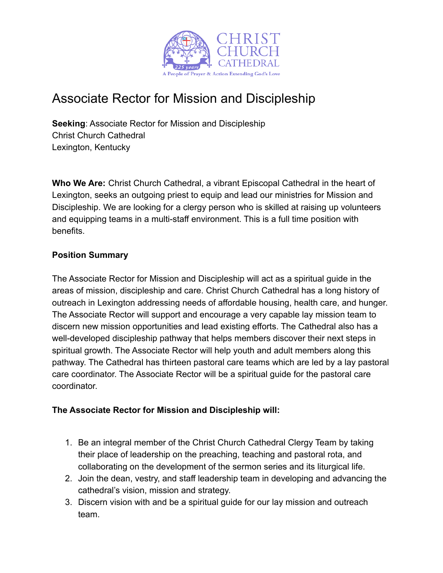

# Associate Rector for Mission and Discipleship

**Seeking**: Associate Rector for Mission and Discipleship Christ Church Cathedral Lexington, Kentucky

**Who We Are:** Christ Church Cathedral, a vibrant Episcopal Cathedral in the heart of Lexington, seeks an outgoing priest to equip and lead our ministries for Mission and Discipleship. We are looking for a clergy person who is skilled at raising up volunteers and equipping teams in a multi-staff environment. This is a full time position with benefits.

## **Position Summary**

The Associate Rector for Mission and Discipleship will act as a spiritual guide in the areas of mission, discipleship and care. Christ Church Cathedral has a long history of outreach in Lexington addressing needs of affordable housing, health care, and hunger. The Associate Rector will support and encourage a very capable lay mission team to discern new mission opportunities and lead existing efforts. The Cathedral also has a well-developed discipleship pathway that helps members discover their next steps in spiritual growth. The Associate Rector will help youth and adult members along this pathway. The Cathedral has thirteen pastoral care teams which are led by a lay pastoral care coordinator. The Associate Rector will be a spiritual guide for the pastoral care coordinator.

# **The Associate Rector for Mission and Discipleship will:**

- 1. Be an integral member of the Christ Church Cathedral Clergy Team by taking their place of leadership on the preaching, teaching and pastoral rota, and collaborating on the development of the sermon series and its liturgical life.
- 2. Join the dean, vestry, and staff leadership team in developing and advancing the cathedral's vision, mission and strategy.
- 3. Discern vision with and be a spiritual guide for our lay mission and outreach team.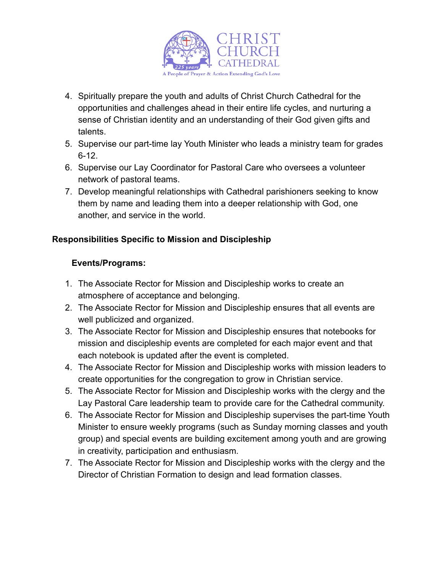

- 4. Spiritually prepare the youth and adults of Christ Church Cathedral for the opportunities and challenges ahead in their entire life cycles, and nurturing a sense of Christian identity and an understanding of their God given gifts and talents.
- 5. Supervise our part-time lay Youth Minister who leads a ministry team for grades 6-12.
- 6. Supervise our Lay Coordinator for Pastoral Care who oversees a volunteer network of pastoral teams.
- 7. Develop meaningful relationships with Cathedral parishioners seeking to know them by name and leading them into a deeper relationship with God, one another, and service in the world.

# **Responsibilities Specific to Mission and Discipleship**

## **Events/Programs:**

- 1. The Associate Rector for Mission and Discipleship works to create an atmosphere of acceptance and belonging.
- 2. The Associate Rector for Mission and Discipleship ensures that all events are well publicized and organized.
- 3. The Associate Rector for Mission and Discipleship ensures that notebooks for mission and discipleship events are completed for each major event and that each notebook is updated after the event is completed.
- 4. The Associate Rector for Mission and Discipleship works with mission leaders to create opportunities for the congregation to grow in Christian service.
- 5. The Associate Rector for Mission and Discipleship works with the clergy and the Lay Pastoral Care leadership team to provide care for the Cathedral community.
- 6. The Associate Rector for Mission and Discipleship supervises the part-time Youth Minister to ensure weekly programs (such as Sunday morning classes and youth group) and special events are building excitement among youth and are growing in creativity, participation and enthusiasm.
- 7. The Associate Rector for Mission and Discipleship works with the clergy and the Director of Christian Formation to design and lead formation classes.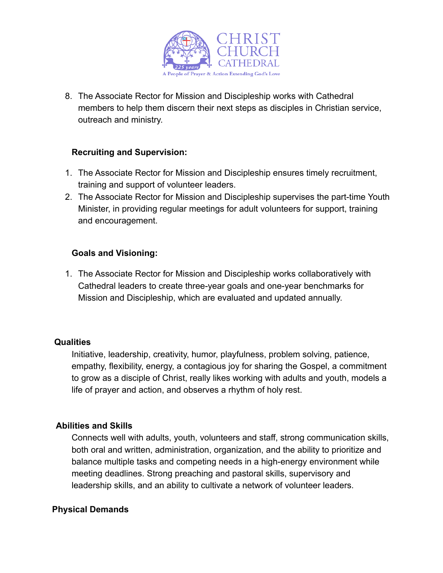

8. The Associate Rector for Mission and Discipleship works with Cathedral members to help them discern their next steps as disciples in Christian service, outreach and ministry.

## **Recruiting and Supervision:**

- 1. The Associate Rector for Mission and Discipleship ensures timely recruitment, training and support of volunteer leaders.
- 2. The Associate Rector for Mission and Discipleship supervises the part-time Youth Minister, in providing regular meetings for adult volunteers for support, training and encouragement.

## **Goals and Visioning:**

1. The Associate Rector for Mission and Discipleship works collaboratively with Cathedral leaders to create three-year goals and one-year benchmarks for Mission and Discipleship, which are evaluated and updated annually.

#### **Qualities**

Initiative, leadership, creativity, humor, playfulness, problem solving, patience, empathy, flexibility, energy, a contagious joy for sharing the Gospel, a commitment to grow as a disciple of Christ, really likes working with adults and youth, models a life of prayer and action, and observes a rhythm of holy rest.

# **Abilities and Skills**

Connects well with adults, youth, volunteers and staff, strong communication skills, both oral and written, administration, organization, and the ability to prioritize and balance multiple tasks and competing needs in a high-energy environment while meeting deadlines. Strong preaching and pastoral skills, supervisory and leadership skills, and an ability to cultivate a network of volunteer leaders.

#### **Physical Demands**